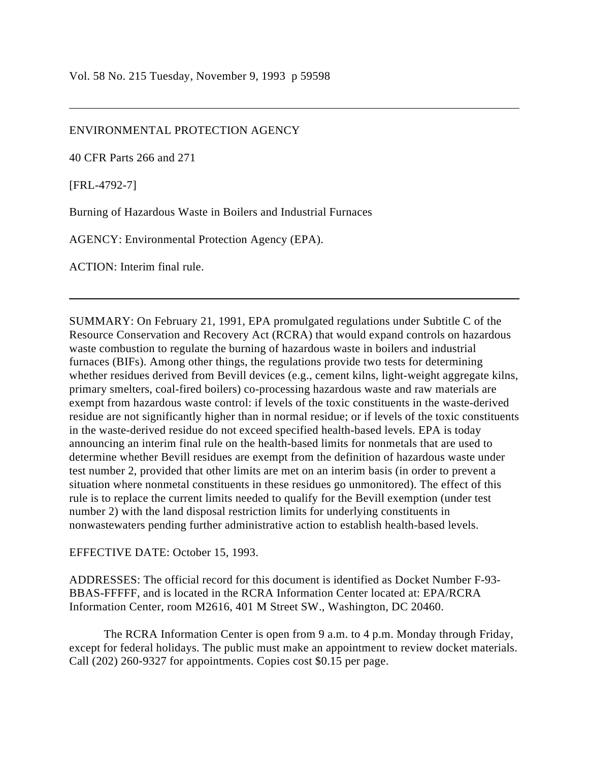## ENVIRONMENTAL PROTECTION AGENCY

40 CFR Parts 266 and 271

[FRL-4792-7]

Burning of Hazardous Waste in Boilers and Industrial Furnaces

AGENCY: Environmental Protection Agency (EPA).

ACTION: Interim final rule.

SUMMARY: On February 21, 1991, EPA promulgated regulations under Subtitle C of the Resource Conservation and Recovery Act (RCRA) that would expand controls on hazardous waste combustion to regulate the burning of hazardous waste in boilers and industrial furnaces (BIFs). Among other things, the regulations provide two tests for determining whether residues derived from Bevill devices (e.g., cement kilns, light-weight aggregate kilns, primary smelters, coal-fired boilers) co-processing hazardous waste and raw materials are exempt from hazardous waste control: if levels of the toxic constituents in the waste-derived residue are not significantly higher than in normal residue; or if levels of the toxic constituents in the waste-derived residue do not exceed specified health-based levels. EPA is today announcing an interim final rule on the health-based limits for nonmetals that are used to determine whether Bevill residues are exempt from the definition of hazardous waste under test number 2, provided that other limits are met on an interim basis (in order to prevent a situation where nonmetal constituents in these residues go unmonitored). The effect of this rule is to replace the current limits needed to qualify for the Bevill exemption (under test number 2) with the land disposal restriction limits for underlying constituents in nonwastewaters pending further administrative action to establish health-based levels.

EFFECTIVE DATE: October 15, 1993.

ADDRESSES: The official record for this document is identified as Docket Number F-93- BBAS-FFFFF, and is located in the RCRA Information Center located at: EPA/RCRA Information Center, room M2616, 401 M Street SW., Washington, DC 20460.

The RCRA Information Center is open from 9 a.m. to 4 p.m. Monday through Friday, except for federal holidays. The public must make an appointment to review docket materials. Call (202) 260-9327 for appointments. Copies cost \$0.15 per page.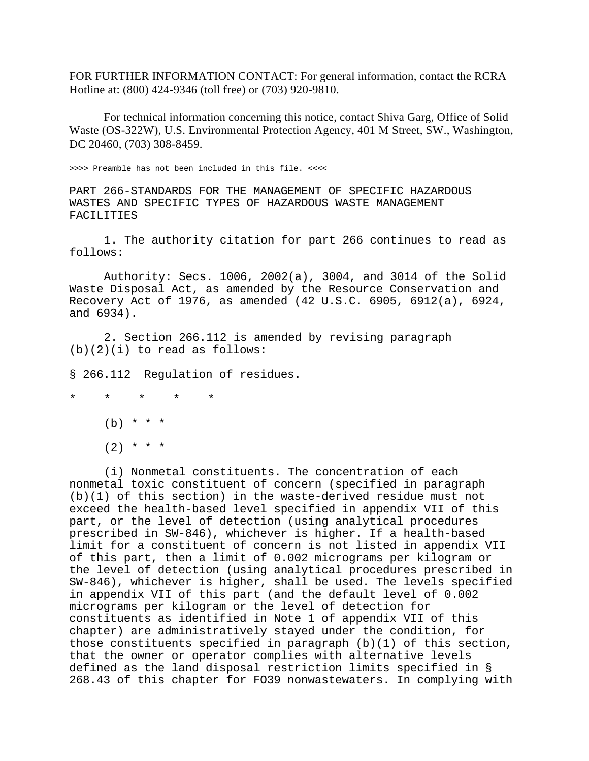FOR FURTHER INFORMATION CONTACT: For general information, contact the RCRA Hotline at: (800) 424-9346 (toll free) or (703) 920-9810.

For technical information concerning this notice, contact Shiva Garg, Office of Solid Waste (OS-322W), U.S. Environmental Protection Agency, 401 M Street, SW., Washington, DC 20460, (703) 308-8459.

>>>> Preamble has not been included in this file. <<<<

PART 266-STANDARDS FOR THE MANAGEMENT OF SPECIFIC HAZARDOUS WASTES AND SPECIFIC TYPES OF HAZARDOUS WASTE MANAGEMENT FACILITIES

1. The authority citation for part 266 continues to read as follows:

Authority: Secs. 1006, 2002(a), 3004, and 3014 of the Solid Waste Disposal Act, as amended by the Resource Conservation and Recovery Act of 1976, as amended (42 U.S.C. 6905, 6912(a), 6924, and 6934).

2. Section 266.112 is amended by revising paragraph  $(b)(2)(i)$  to read as follows:

§ 266.112 Regulation of residues.

\* \* \* \* \*

 $(b) * * * *$ 

 $(2)$  \* \* \*

(i) Nonmetal constituents. The concentration of each nonmetal toxic constituent of concern (specified in paragraph (b)(1) of this section) in the waste-derived residue must not exceed the health-based level specified in appendix VII of this part, or the level of detection (using analytical procedures prescribed in SW-846), whichever is higher. If a health-based limit for a constituent of concern is not listed in appendix VII of this part, then a limit of 0.002 micrograms per kilogram or the level of detection (using analytical procedures prescribed in SW-846), whichever is higher, shall be used. The levels specified in appendix VII of this part (and the default level of 0.002 micrograms per kilogram or the level of detection for constituents as identified in Note 1 of appendix VII of this chapter) are administratively stayed under the condition, for those constituents specified in paragraph (b)(1) of this section, that the owner or operator complies with alternative levels defined as the land disposal restriction limits specified in § 268.43 of this chapter for FO39 nonwastewaters. In complying with